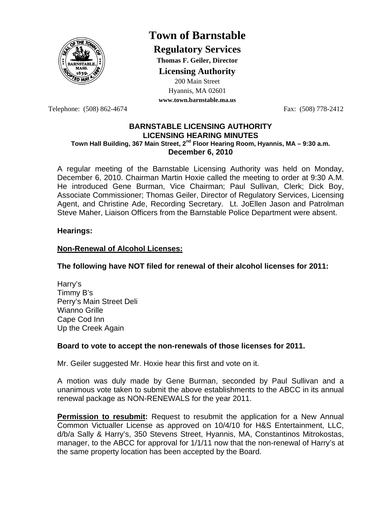

# **Town of Barnstable**

**Regulatory Services**

**Thomas F. Geiler, Director** 

**Licensing Authority**

200 Main Street

Hyannis, MA 02601 **www.town.barnstable.ma.us**

Telephone: (508) 862-4674 Fax: (508) 778-2412

## **BARNSTABLE LICENSING AUTHORITY LICENSING HEARING MINUTES Town Hall Building, 367 Main Street, 2nd Floor Hearing Room, Hyannis, MA – 9:30 a.m. December 6, 2010**

A regular meeting of the Barnstable Licensing Authority was held on Monday, December 6, 2010. Chairman Martin Hoxie called the meeting to order at 9:30 A.M. He introduced Gene Burman, Vice Chairman; Paul Sullivan, Clerk; Dick Boy, Associate Commissioner; Thomas Geiler, Director of Regulatory Services, Licensing Agent, and Christine Ade, Recording Secretary. Lt. JoEllen Jason and Patrolman Steve Maher, Liaison Officers from the Barnstable Police Department were absent.

# **Hearings:**

# **Non-Renewal of Alcohol Licenses:**

# **The following have NOT filed for renewal of their alcohol licenses for 2011:**

Harry's Timmy B's Perry's Main Street Deli Wianno Grille Cape Cod Inn Up the Creek Again

# **Board to vote to accept the non-renewals of those licenses for 2011.**

Mr. Geiler suggested Mr. Hoxie hear this first and vote on it.

A motion was duly made by Gene Burman, seconded by Paul Sullivan and a unanimous vote taken to submit the above establishments to the ABCC in its annual renewal package as NON-RENEWALS for the year 2011.

**Permission to resubmit:** Request to resubmit the application for a New Annual Common Victualler License as approved on 10/4/10 for H&S Entertainment, LLC, d/b/a Sally & Harry's, 350 Stevens Street, Hyannis, MA, Constantinos Mitrokostas, manager, to the ABCC for approval for 1/1/11 now that the non-renewal of Harry's at the same property location has been accepted by the Board.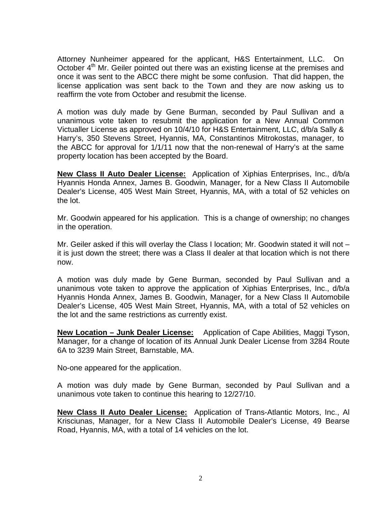Attorney Nunheimer appeared for the applicant, H&S Entertainment, LLC. On October 4<sup>th</sup> Mr. Geiler pointed out there was an existing license at the premises and once it was sent to the ABCC there might be some confusion. That did happen, the license application was sent back to the Town and they are now asking us to reaffirm the vote from October and resubmit the license.

A motion was duly made by Gene Burman, seconded by Paul Sullivan and a unanimous vote taken to resubmit the application for a New Annual Common Victualler License as approved on 10/4/10 for H&S Entertainment, LLC, d/b/a Sally & Harry's, 350 Stevens Street, Hyannis, MA, Constantinos Mitrokostas, manager, to the ABCC for approval for 1/1/11 now that the non-renewal of Harry's at the same property location has been accepted by the Board.

**New Class II Auto Dealer License:** Application of Xiphias Enterprises, Inc., d/b/a Hyannis Honda Annex, James B. Goodwin, Manager, for a New Class II Automobile Dealer's License, 405 West Main Street, Hyannis, MA, with a total of 52 vehicles on the lot.

Mr. Goodwin appeared for his application. This is a change of ownership; no changes in the operation.

Mr. Geiler asked if this will overlay the Class I location; Mr. Goodwin stated it will not – it is just down the street; there was a Class II dealer at that location which is not there now.

A motion was duly made by Gene Burman, seconded by Paul Sullivan and a unanimous vote taken to approve the application of Xiphias Enterprises, Inc., d/b/a Hyannis Honda Annex, James B. Goodwin, Manager, for a New Class II Automobile Dealer's License, 405 West Main Street, Hyannis, MA, with a total of 52 vehicles on the lot and the same restrictions as currently exist.

**New Location – Junk Dealer License:** Application of Cape Abilities, Maggi Tyson, Manager, for a change of location of its Annual Junk Dealer License from 3284 Route 6A to 3239 Main Street, Barnstable, MA.

No-one appeared for the application.

A motion was duly made by Gene Burman, seconded by Paul Sullivan and a unanimous vote taken to continue this hearing to 12/27/10.

**New Class II Auto Dealer License:** Application of Trans-Atlantic Motors, Inc., Al Krisciunas, Manager, for a New Class II Automobile Dealer's License, 49 Bearse Road, Hyannis, MA, with a total of 14 vehicles on the lot.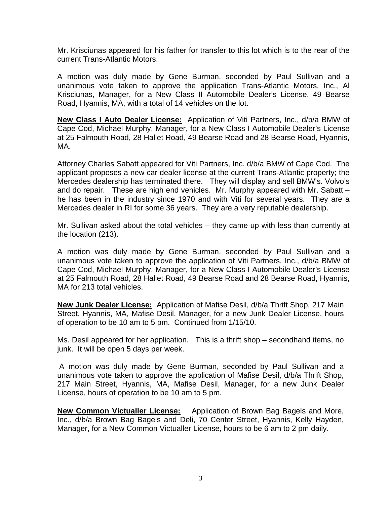Mr. Krisciunas appeared for his father for transfer to this lot which is to the rear of the current Trans-Atlantic Motors.

A motion was duly made by Gene Burman, seconded by Paul Sullivan and a unanimous vote taken to approve the application Trans-Atlantic Motors, Inc., Al Krisciunas, Manager, for a New Class II Automobile Dealer's License, 49 Bearse Road, Hyannis, MA, with a total of 14 vehicles on the lot.

**New Class I Auto Dealer License:** Application of Viti Partners, Inc., d/b/a BMW of Cape Cod, Michael Murphy, Manager, for a New Class I Automobile Dealer's License at 25 Falmouth Road, 28 Hallet Road, 49 Bearse Road and 28 Bearse Road, Hyannis, MA.

Attorney Charles Sabatt appeared for Viti Partners, Inc. d/b/a BMW of Cape Cod. The applicant proposes a new car dealer license at the current Trans-Atlantic property; the Mercedes dealership has terminated there. They will display and sell BMW's. Volvo's and do repair. These are high end vehicles. Mr. Murphy appeared with Mr. Sabatt – he has been in the industry since 1970 and with Viti for several years. They are a Mercedes dealer in RI for some 36 years. They are a very reputable dealership.

Mr. Sullivan asked about the total vehicles – they came up with less than currently at the location (213).

A motion was duly made by Gene Burman, seconded by Paul Sullivan and a unanimous vote taken to approve the application of Viti Partners, Inc., d/b/a BMW of Cape Cod, Michael Murphy, Manager, for a New Class I Automobile Dealer's License at 25 Falmouth Road, 28 Hallet Road, 49 Bearse Road and 28 Bearse Road, Hyannis, MA for 213 total vehicles.

**New Junk Dealer License:** Application of Mafise Desil, d/b/a Thrift Shop, 217 Main Street, Hyannis, MA, Mafise Desil, Manager, for a new Junk Dealer License, hours of operation to be 10 am to 5 pm. Continued from 1/15/10.

Ms. Desil appeared for her application. This is a thrift shop – secondhand items, no junk. It will be open 5 days per week.

A motion was duly made by Gene Burman, seconded by Paul Sullivan and a unanimous vote taken to approve the application of Mafise Desil, d/b/a Thrift Shop, 217 Main Street, Hyannis, MA, Mafise Desil, Manager, for a new Junk Dealer License, hours of operation to be 10 am to 5 pm.

**New Common Victualler License:** Application of Brown Bag Bagels and More, Inc., d/b/a Brown Bag Bagels and Deli, 70 Center Street, Hyannis, Kelly Hayden, Manager, for a New Common Victualler License, hours to be 6 am to 2 pm daily.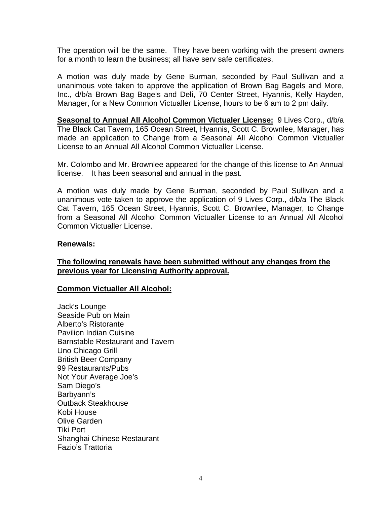The operation will be the same. They have been working with the present owners for a month to learn the business; all have serv safe certificates.

A motion was duly made by Gene Burman, seconded by Paul Sullivan and a unanimous vote taken to approve the application of Brown Bag Bagels and More, Inc., d/b/a Brown Bag Bagels and Deli, 70 Center Street, Hyannis, Kelly Hayden, Manager, for a New Common Victualler License, hours to be 6 am to 2 pm daily.

**Seasonal to Annual All Alcohol Common Victualer License:** 9 Lives Corp., d/b/a The Black Cat Tavern, 165 Ocean Street, Hyannis, Scott C. Brownlee, Manager, has made an application to Change from a Seasonal All Alcohol Common Victualler License to an Annual All Alcohol Common Victualler License.

Mr. Colombo and Mr. Brownlee appeared for the change of this license to An Annual license. It has been seasonal and annual in the past.

A motion was duly made by Gene Burman, seconded by Paul Sullivan and a unanimous vote taken to approve the application of 9 Lives Corp., d/b/a The Black Cat Tavern, 165 Ocean Street, Hyannis, Scott C. Brownlee, Manager, to Change from a Seasonal All Alcohol Common Victualler License to an Annual All Alcohol Common Victualler License.

## **Renewals:**

# **The following renewals have been submitted without any changes from the previous year for Licensing Authority approval.**

# **Common Victualler All Alcohol:**

Jack's Lounge Seaside Pub on Main Alberto's Ristorante Pavilion Indian Cuisine Barnstable Restaurant and Tavern Uno Chicago Grill British Beer Company 99 Restaurants/Pubs Not Your Average Joe's Sam Diego's Barbyann's Outback Steakhouse Kobi House Olive Garden Tiki Port Shanghai Chinese Restaurant Fazio's Trattoria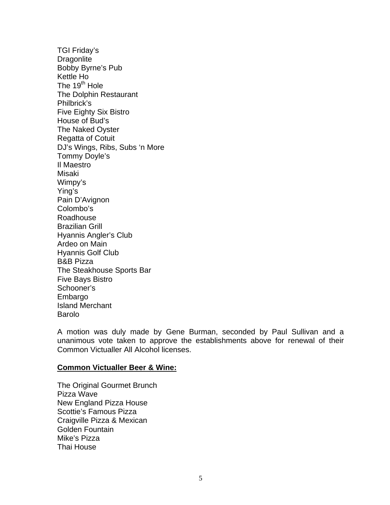TGI Friday's **Dragonlite** Bobby Byrne's Pub Kettle Ho The  $19<sup>th</sup>$  Hole The Dolphin Restaurant Philbrick's Five Eighty Six Bistro House of Bud's The Naked Oyster Regatta of Cotuit DJ's Wings, Ribs, Subs 'n More Tommy Doyle's Il Maestro Misaki Wimpy's Ying's Pain D'Avignon Colombo's Roadhouse Brazilian Grill Hyannis Angler's Club Ardeo on Main Hyannis Golf Club B&B Pizza The Steakhouse Sports Bar Five Bays Bistro Schooner's Embargo Island Merchant Barolo

A motion was duly made by Gene Burman, seconded by Paul Sullivan and a unanimous vote taken to approve the establishments above for renewal of their Common Victualler All Alcohol licenses.

#### **Common Victualler Beer & Wine:**

The Original Gourmet Brunch Pizza Wave New England Pizza House Scottie's Famous Pizza Craigville Pizza & Mexican Golden Fountain Mike's Pizza Thai House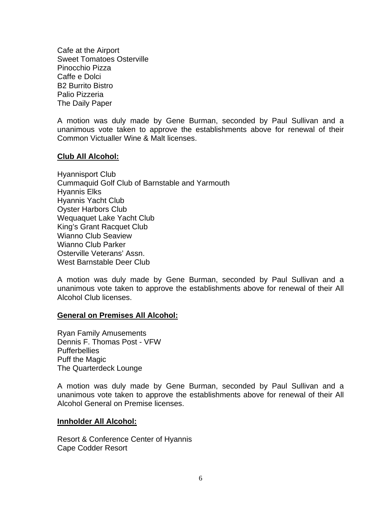Cafe at the Airport Sweet Tomatoes Osterville Pinocchio Pizza Caffe e Dolci B2 Burrito Bistro Palio Pizzeria The Daily Paper

A motion was duly made by Gene Burman, seconded by Paul Sullivan and a unanimous vote taken to approve the establishments above for renewal of their Common Victualler Wine & Malt licenses.

## **Club All Alcohol:**

Hyannisport Club Cummaquid Golf Club of Barnstable and Yarmouth Hyannis Elks Hyannis Yacht Club Oyster Harbors Club Wequaquet Lake Yacht Club King's Grant Racquet Club Wianno Club Seaview Wianno Club Parker Osterville Veterans' Assn. West Barnstable Deer Club

A motion was duly made by Gene Burman, seconded by Paul Sullivan and a unanimous vote taken to approve the establishments above for renewal of their All Alcohol Club licenses.

#### **General on Premises All Alcohol:**

Ryan Family Amusements Dennis F. Thomas Post - VFW **Pufferbellies** Puff the Magic The Quarterdeck Lounge

A motion was duly made by Gene Burman, seconded by Paul Sullivan and a unanimous vote taken to approve the establishments above for renewal of their All Alcohol General on Premise licenses.

#### **Innholder All Alcohol:**

Resort & Conference Center of Hyannis Cape Codder Resort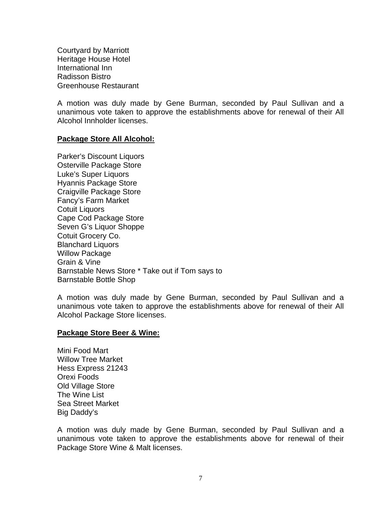Courtyard by Marriott Heritage House Hotel International Inn Radisson Bistro Greenhouse Restaurant

A motion was duly made by Gene Burman, seconded by Paul Sullivan and a unanimous vote taken to approve the establishments above for renewal of their All Alcohol Innholder licenses.

## **Package Store All Alcohol:**

Parker's Discount Liquors Osterville Package Store Luke's Super Liquors Hyannis Package Store Craigville Package Store Fancy's Farm Market Cotuit Liquors Cape Cod Package Store Seven G's Liquor Shoppe Cotuit Grocery Co. Blanchard Liquors Willow Package Grain & Vine Barnstable News Store \* Take out if Tom says to Barnstable Bottle Shop

A motion was duly made by Gene Burman, seconded by Paul Sullivan and a unanimous vote taken to approve the establishments above for renewal of their All Alcohol Package Store licenses.

#### **Package Store Beer & Wine:**

Mini Food Mart Willow Tree Market Hess Express 21243 Orexi Foods Old Village Store The Wine List Sea Street Market Big Daddy's

A motion was duly made by Gene Burman, seconded by Paul Sullivan and a unanimous vote taken to approve the establishments above for renewal of their Package Store Wine & Malt licenses.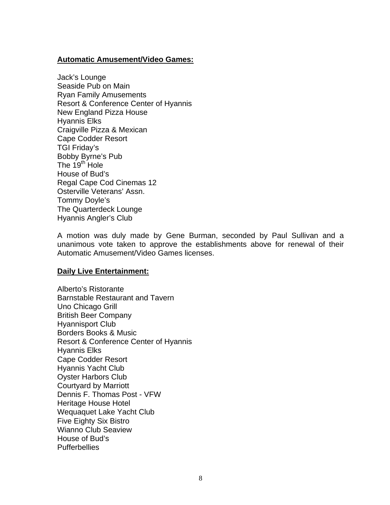## **Automatic Amusement/Video Games:**

Jack's Lounge Seaside Pub on Main Ryan Family Amusements Resort & Conference Center of Hyannis New England Pizza House Hyannis Elks Craigville Pizza & Mexican Cape Codder Resort TGI Friday's Bobby Byrne's Pub The  $19<sup>th</sup>$  Hole House of Bud's Regal Cape Cod Cinemas 12 Osterville Veterans' Assn. Tommy Doyle's The Quarterdeck Lounge Hyannis Angler's Club

A motion was duly made by Gene Burman, seconded by Paul Sullivan and a unanimous vote taken to approve the establishments above for renewal of their Automatic Amusement/Video Games licenses.

#### **Daily Live Entertainment:**

Alberto's Ristorante Barnstable Restaurant and Tavern Uno Chicago Grill British Beer Company Hyannisport Club Borders Books & Music Resort & Conference Center of Hyannis Hyannis Elks Cape Codder Resort Hyannis Yacht Club Oyster Harbors Club Courtyard by Marriott Dennis F. Thomas Post - VFW Heritage House Hotel Wequaquet Lake Yacht Club Five Eighty Six Bistro Wianno Club Seaview House of Bud's **Pufferbellies**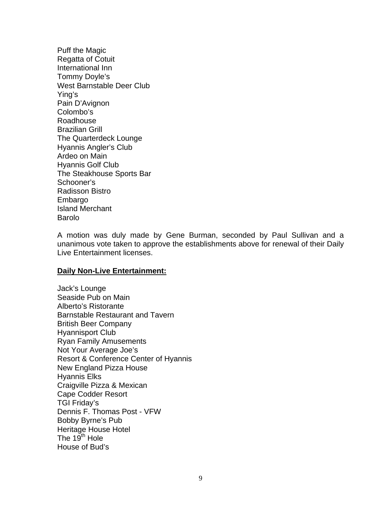Puff the Magic Regatta of Cotuit International Inn Tommy Doyle's West Barnstable Deer Club Ying's Pain D'Avignon Colombo's Roadhouse Brazilian Grill The Quarterdeck Lounge Hyannis Angler's Club Ardeo on Main Hyannis Golf Club The Steakhouse Sports Bar Schooner's Radisson Bistro Embargo Island Merchant Barolo

A motion was duly made by Gene Burman, seconded by Paul Sullivan and a unanimous vote taken to approve the establishments above for renewal of their Daily Live Entertainment licenses.

#### **Daily Non-Live Entertainment:**

Jack's Lounge Seaside Pub on Main Alberto's Ristorante Barnstable Restaurant and Tavern British Beer Company Hyannisport Club Ryan Family Amusements Not Your Average Joe's Resort & Conference Center of Hyannis New England Pizza House Hyannis Elks Craigville Pizza & Mexican Cape Codder Resort TGI Friday's Dennis F. Thomas Post - VFW Bobby Byrne's Pub Heritage House Hotel The  $19^{th}$  Hole House of Bud's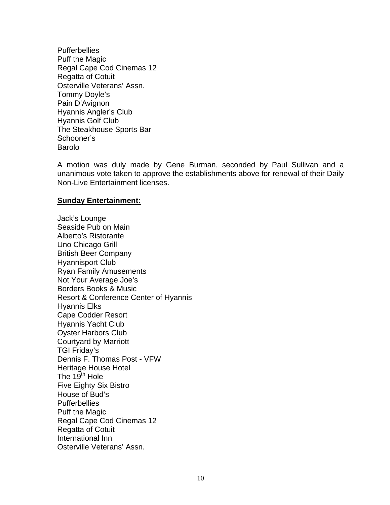**Pufferbellies** Puff the Magic Regal Cape Cod Cinemas 12 Regatta of Cotuit Osterville Veterans' Assn. Tommy Doyle's Pain D'Avignon Hyannis Angler's Club Hyannis Golf Club The Steakhouse Sports Bar Schooner's Barolo

A motion was duly made by Gene Burman, seconded by Paul Sullivan and a unanimous vote taken to approve the establishments above for renewal of their Daily Non-Live Entertainment licenses.

## **Sunday Entertainment:**

Jack's Lounge Seaside Pub on Main Alberto's Ristorante Uno Chicago Grill British Beer Company Hyannisport Club Ryan Family Amusements Not Your Average Joe's Borders Books & Music Resort & Conference Center of Hyannis Hyannis Elks Cape Codder Resort Hyannis Yacht Club Oyster Harbors Club Courtyard by Marriott TGI Friday's Dennis F. Thomas Post - VFW Heritage House Hotel The  $19^{\text{th}}$  Hole Five Eighty Six Bistro House of Bud's **Pufferbellies** Puff the Magic Regal Cape Cod Cinemas 12 Regatta of Cotuit International Inn Osterville Veterans' Assn.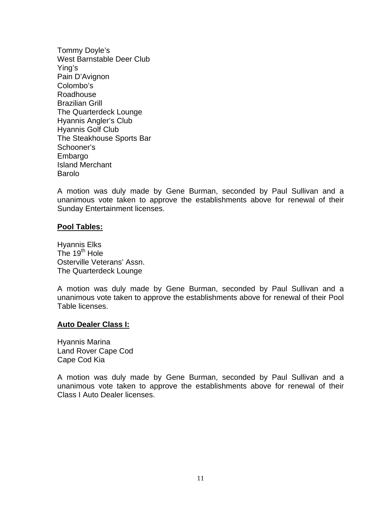Tommy Doyle's West Barnstable Deer Club Ying's Pain D'Avignon Colombo's Roadhouse Brazilian Grill The Quarterdeck Lounge Hyannis Angler's Club Hyannis Golf Club The Steakhouse Sports Bar Schooner's Embargo Island Merchant Barolo

A motion was duly made by Gene Burman, seconded by Paul Sullivan and a unanimous vote taken to approve the establishments above for renewal of their Sunday Entertainment licenses.

## **Pool Tables:**

Hyannis Elks The  $19<sup>th</sup>$  Hole Osterville Veterans' Assn. The Quarterdeck Lounge

A motion was duly made by Gene Burman, seconded by Paul Sullivan and a unanimous vote taken to approve the establishments above for renewal of their Pool Table licenses.

#### **Auto Dealer Class I:**

Hyannis Marina Land Rover Cape Cod Cape Cod Kia

A motion was duly made by Gene Burman, seconded by Paul Sullivan and a unanimous vote taken to approve the establishments above for renewal of their Class I Auto Dealer licenses.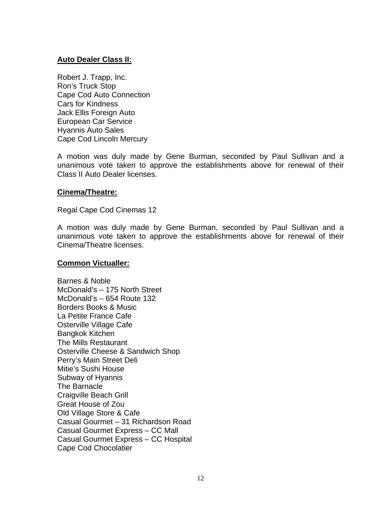# **Auto Dealer Class II:**

Robert J. Trapp, Inc. Ron's Truck Stop Cape Cod Auto Connection Cars for Kindness Jack Ellis Foreign Auto European Car Service Hyannis Auto Sales Cape Cod Lincoln Mercury

A motion was duly made by Gene Burman, seconded by Paul Sullivan and a unanimous vote taken to approve the establishments above for renewal of their Class II Auto Dealer licenses.

## **Cinema/Theatre:**

Regal Cape Cod Cinemas 12

A motion was duly made by Gene Burman, seconded by Paul Sullivan and a unanimous vote taken to approve the establishments above for renewal of their Cinema/Theatre licenses.

#### **Common Victualler:**

Barnes & Noble McDonald's – 175 North Street McDonald's – 654 Route 132 Borders Books & Music La Petite France Cafe Osterville Village Cafe Bangkok Kitchen The Mills Restaurant Osterville Cheese & Sandwich Shop Perry's Main Street Deli Mitie's Sushi House Subway of Hyannis The Barnacle Craigville Beach Grill Great House of Zou Old Village Store & Cafe Casual Gourmet – 31 Richardson Road Casual Gourmet Express – CC Mall Casual Gourmet Express – CC Hospital Cape Cod Chocolatier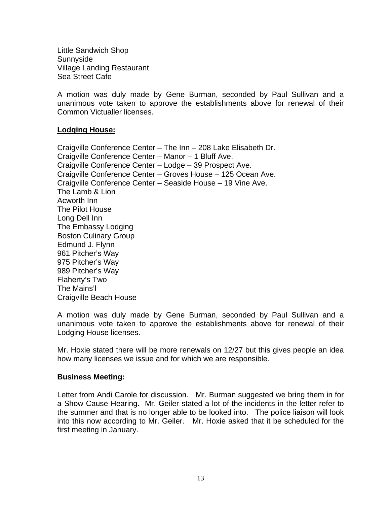Little Sandwich Shop Sunnyside Village Landing Restaurant Sea Street Cafe

A motion was duly made by Gene Burman, seconded by Paul Sullivan and a unanimous vote taken to approve the establishments above for renewal of their Common Victualler licenses.

# **Lodging House:**

Craigville Conference Center – The Inn – 208 Lake Elisabeth Dr. Craigville Conference Center – Manor – 1 Bluff Ave. Craigville Conference Center – Lodge – 39 Prospect Ave. Craigville Conference Center – Groves House – 125 Ocean Ave. Craigville Conference Center – Seaside House – 19 Vine Ave. The Lamb & Lion Acworth Inn The Pilot House Long Dell Inn The Embassy Lodging Boston Culinary Group Edmund J. Flynn 961 Pitcher's Way 975 Pitcher's Way 989 Pitcher's Way Flaherty's Two The Mains'l Craigville Beach House

A motion was duly made by Gene Burman, seconded by Paul Sullivan and a unanimous vote taken to approve the establishments above for renewal of their Lodging House licenses.

Mr. Hoxie stated there will be more renewals on 12/27 but this gives people an idea how many licenses we issue and for which we are responsible.

#### **Business Meeting:**

Letter from Andi Carole for discussion. Mr. Burman suggested we bring them in for a Show Cause Hearing. Mr. Geiler stated a lot of the incidents in the letter refer to the summer and that is no longer able to be looked into. The police liaison will look into this now according to Mr. Geiler. Mr. Hoxie asked that it be scheduled for the first meeting in January.